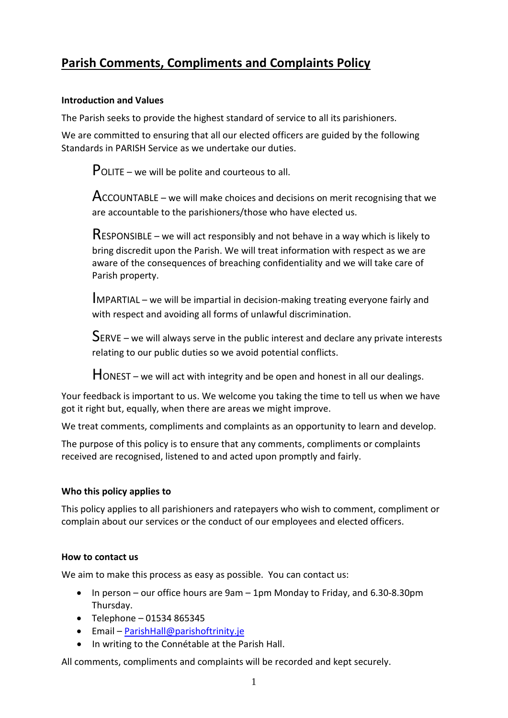# **Parish Comments, Compliments and Complaints Policy**

## **Introduction and Values**

The Parish seeks to provide the highest standard of service to all its parishioners.

We are committed to ensuring that all our elected officers are guided by the following Standards in PARISH Service as we undertake our duties.

POLITE – we will be polite and courteous to all.

 $Acc$ OUNTABLE – we will make choices and decisions on merit recognising that we are accountable to the parishioners/those who have elected us.

RESPONSIBLE – we will act responsibly and not behave in a way which is likely to bring discredit upon the Parish. We will treat information with respect as we are aware of the consequences of breaching confidentiality and we will take care of Parish property.

IMPARTIAL – we will be impartial in decision-making treating everyone fairly and with respect and avoiding all forms of unlawful discrimination.

SERVE – we will always serve in the public interest and declare any private interests relating to our public duties so we avoid potential conflicts.

HONEST – we will act with integrity and be open and honest in all our dealings.

Your feedback is important to us. We welcome you taking the time to tell us when we have got it right but, equally, when there are areas we might improve.

We treat comments, compliments and complaints as an opportunity to learn and develop.

The purpose of this policy is to ensure that any comments, compliments or complaints received are recognised, listened to and acted upon promptly and fairly.

# **Who this policy applies to**

This policy applies to all parishioners and ratepayers who wish to comment, compliment or complain about our services or the conduct of our employees and elected officers.

# **How to contact us**

We aim to make this process as easy as possible. You can contact us:

- In person our office hours are 9am 1pm Monday to Friday, and 6.30-8.30pm Thursday.
- $\bullet$  Telephone 01534 865345
- Email ParishHall@parishoftrinity.je
- In writing to the Connétable at the Parish Hall.

All comments, compliments and complaints will be recorded and kept securely.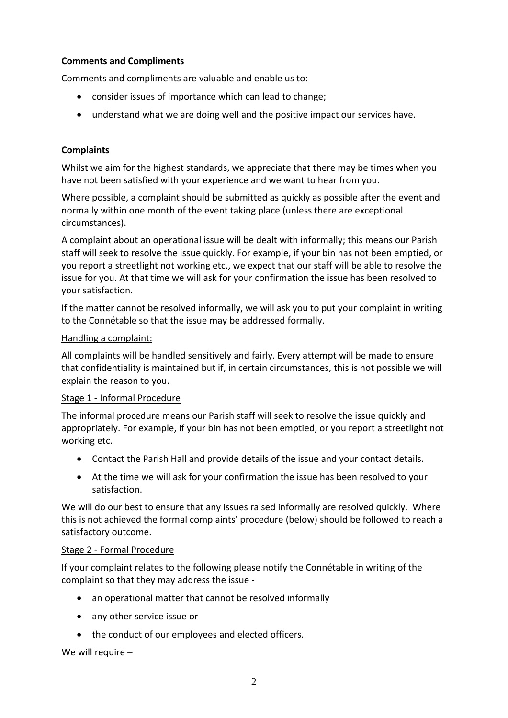# **Comments and Compliments**

Comments and compliments are valuable and enable us to:

- consider issues of importance which can lead to change;
- understand what we are doing well and the positive impact our services have.

## **Complaints**

Whilst we aim for the highest standards, we appreciate that there may be times when you have not been satisfied with your experience and we want to hear from you.

Where possible, a complaint should be submitted as quickly as possible after the event and normally within one month of the event taking place (unless there are exceptional circumstances).

A complaint about an operational issue will be dealt with informally; this means our Parish staff will seek to resolve the issue quickly. For example, if your bin has not been emptied, or you report a streetlight not working etc., we expect that our staff will be able to resolve the issue for you. At that time we will ask for your confirmation the issue has been resolved to your satisfaction.

If the matter cannot be resolved informally, we will ask you to put your complaint in writing to the Connétable so that the issue may be addressed formally.

#### Handling a complaint:

All complaints will be handled sensitively and fairly. Every attempt will be made to ensure that confidentiality is maintained but if, in certain circumstances, this is not possible we will explain the reason to you.

#### Stage 1 - Informal Procedure

The informal procedure means our Parish staff will seek to resolve the issue quickly and appropriately. For example, if your bin has not been emptied, or you report a streetlight not working etc.

- Contact the Parish Hall and provide details of the issue and your contact details.
- At the time we will ask for your confirmation the issue has been resolved to your satisfaction.

We will do our best to ensure that any issues raised informally are resolved quickly. Where this is not achieved the formal complaints' procedure (below) should be followed to reach a satisfactory outcome.

#### Stage 2 - Formal Procedure

If your complaint relates to the following please notify the Connétable in writing of the complaint so that they may address the issue -

- an operational matter that cannot be resolved informally
- any other service issue or
- the conduct of our employees and elected officers.

We will require –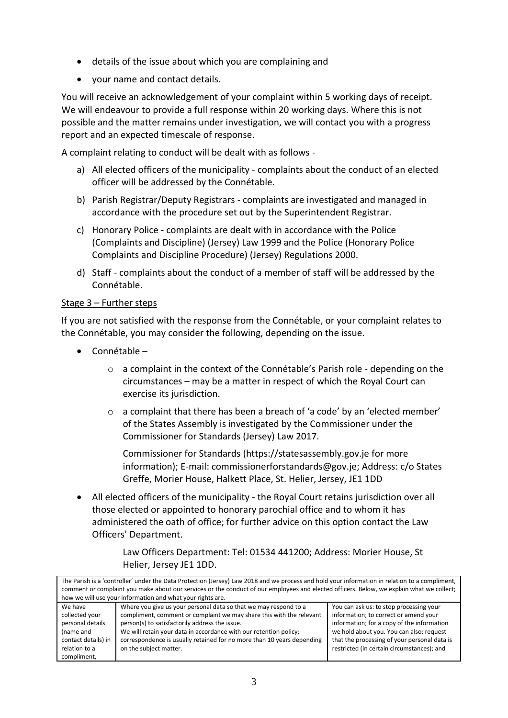- details of the issue about which you are complaining and
- your name and contact details.

You will receive an acknowledgement of your complaint within 5 working days of receipt. We will endeavour to provide a full response within 20 working days. Where this is not possible and the matter remains under investigation, we will contact you with a progress report and an expected timescale of response.

A complaint relating to conduct will be dealt with as follows -

- a) All elected officers of the municipality complaints about the conduct of an elected officer will be addressed by the Connétable.
- b) Parish Registrar/Deputy Registrars complaints are investigated and managed in accordance with the procedure set out by the Superintendent Registrar.
- c) Honorary Police complaints are dealt with in accordance with the Police (Complaints and Discipline) (Jersey) Law 1999 and the Police (Honorary Police Complaints and Discipline Procedure) (Jersey) Regulations 2000.
- d) Staff complaints about the conduct of a member of staff will be addressed by the Connétable.

### Stage 3 – Further steps

If you are not satisfied with the response from the Connétable, or your complaint relates to the Connétable, you may consider the following, depending on the issue.

- Connétable
	- $\circ$  a complaint in the context of the Connétable's Parish role depending on the circumstances – may be a matter in respect of which the Royal Court can exercise its jurisdiction.
	- $\circ$  a complaint that there has been a breach of 'a code' by an 'elected member' of the States Assembly is investigated by the Commissioner under the Commissioner for Standards (Jersey) Law 2017.

Commissioner for Standards [\(https://statesassembly.gov.je](https://statesassembly.gov.je/) for more information); E-mail: [commissionerforstandards@gov.je;](mailto:commissionerforstandards@gov.je) Address: c/o States Greffe, Morier House, Halkett Place, St. Helier, Jersey, JE1 1DD

 All elected officers of the municipality - the Royal Court retains jurisdiction over all those elected or appointed to honorary parochial office and to whom it has administered the oath of office; for further advice on this option contact the Law Officers' Department.

> Law Officers Department: Tel: 01534 441200; Address: Morier House, St Helier, Jersey JE1 1DD.

The Parish is a 'controller' under the Data Protection (Jersey) Law 2018 and we process and hold your information in relation to a compliment, comment or complaint you make about our services or the conduct of our employees and elected officers. Below, we explain what we collect; how we will use your information and what your rights are. We have collected your personal details (name and contact details) in relation to a compliment, Where you give us your personal data so that we may respond to a compliment, comment or complaint we may share this with the relevant person(s) to satisfactorily address the issue. We will retain your data in accordance with our retention policy: correspondence is usually retained for no more than 10 years depending on the subject matter. You can ask us: to stop processing your information; to correct or amend your information; for a copy of the information we hold about you. You can also: request that the processing of your personal data is restricted (in certain circumstances); and